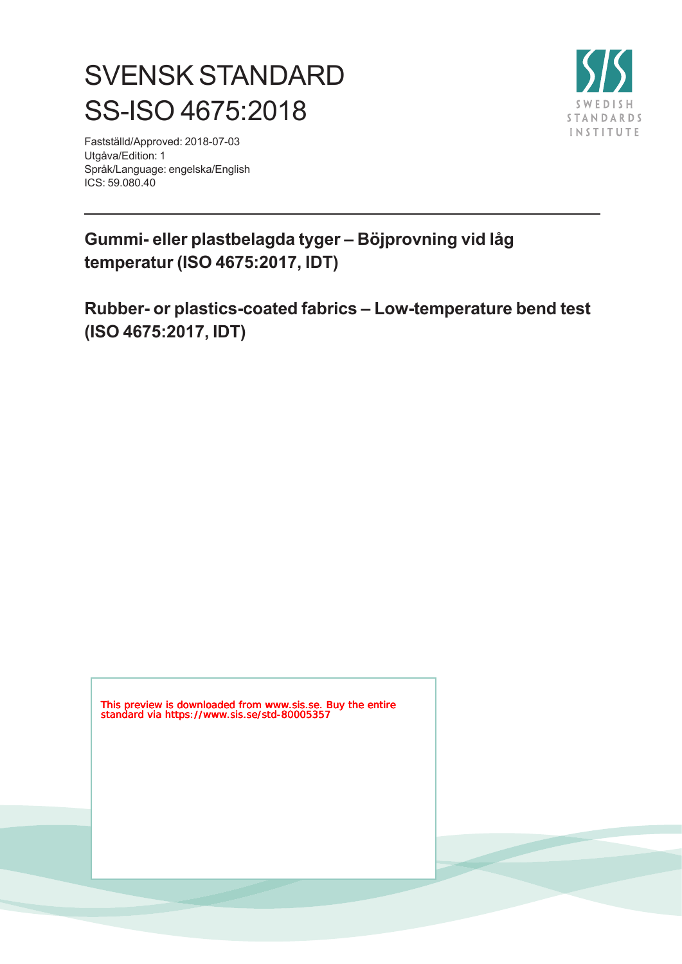# SVENSK STANDARD SS-ISO 4675:2018

Fastställd/Approved: 2018-07-03 Utgåva/Edition: 1 Språk/Language: engelska/English ICS: 59.080.40



**Gummi- eller plastbelagda tyger – Böjprovning vid låg temperatur (ISO 4675:2017, IDT)**

**Rubber- or plastics-coated fabrics – Low-temperature bend test (ISO 4675:2017, IDT)**

This preview is downloaded from www.sis.se. Buy the entire standard via https://www.sis.se/std-80005357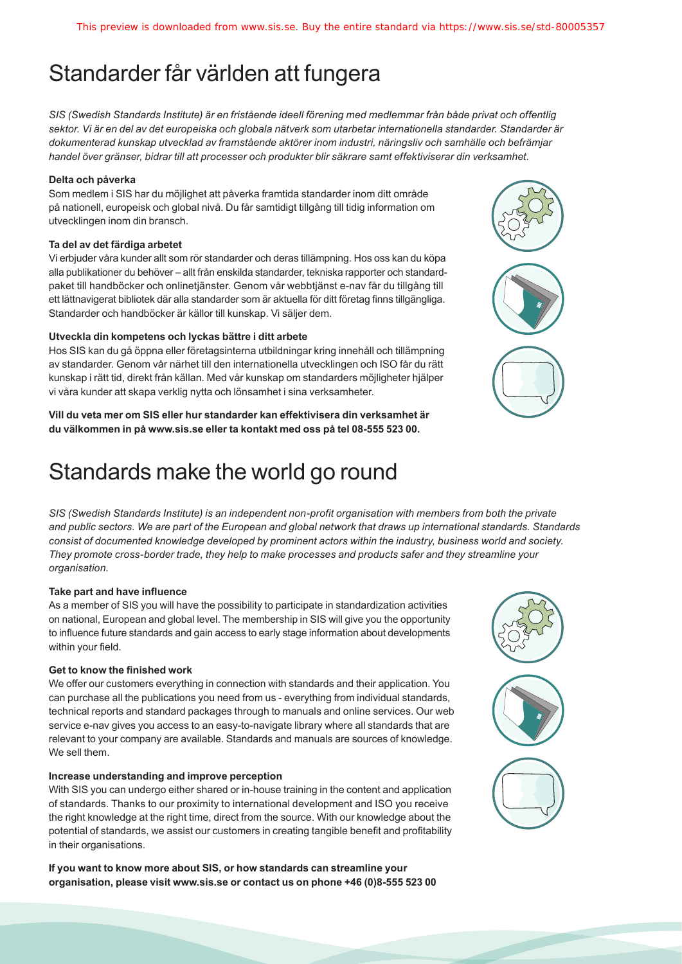## Standarder får världen att fungera

*SIS (Swedish Standards Institute) är en fristående ideell förening med medlemmar från både privat och offentlig sektor. Vi är en del av det europeiska och globala nätverk som utarbetar internationella standarder. Standarder är dokumenterad kunskap utvecklad av framstående aktörer inom industri, näringsliv och samhälle och befrämjar handel över gränser, bidrar till att processer och produkter blir säkrare samt effektiviserar din verksamhet.* 

#### **Delta och påverka**

Som medlem i SIS har du möjlighet att påverka framtida standarder inom ditt område på nationell, europeisk och global nivå. Du får samtidigt tillgång till tidig information om utvecklingen inom din bransch.

### **Ta del av det färdiga arbetet**

Vi erbjuder våra kunder allt som rör standarder och deras tillämpning. Hos oss kan du köpa alla publikationer du behöver – allt från enskilda standarder, tekniska rapporter och standardpaket till handböcker och onlinetjänster. Genom vår webbtjänst e-nav får du tillgång till ett lättnavigerat bibliotek där alla standarder som är aktuella för ditt företag finns tillgängliga. Standarder och handböcker är källor till kunskap. Vi säljer dem.

#### **Utveckla din kompetens och lyckas bättre i ditt arbete**

Hos SIS kan du gå öppna eller företagsinterna utbildningar kring innehåll och tillämpning av standarder. Genom vår närhet till den internationella utvecklingen och ISO får du rätt kunskap i rätt tid, direkt från källan. Med vår kunskap om standarders möjligheter hjälper vi våra kunder att skapa verklig nytta och lönsamhet i sina verksamheter.

**Vill du veta mer om SIS eller hur standarder kan effektivisera din verksamhet är du välkommen in på www.sis.se eller ta kontakt med oss på tel 08-555 523 00.**

## Standards make the world go round

*SIS (Swedish Standards Institute) is an independent non-profit organisation with members from both the private and public sectors. We are part of the European and global network that draws up international standards. Standards consist of documented knowledge developed by prominent actors within the industry, business world and society. They promote cross-border trade, they help to make processes and products safer and they streamline your organisation.*

#### **Take part and have influence**

As a member of SIS you will have the possibility to participate in standardization activities on national, European and global level. The membership in SIS will give you the opportunity to influence future standards and gain access to early stage information about developments within your field.

#### **Get to know the finished work**

We offer our customers everything in connection with standards and their application. You can purchase all the publications you need from us - everything from individual standards, technical reports and standard packages through to manuals and online services. Our web service e-nav gives you access to an easy-to-navigate library where all standards that are relevant to your company are available. Standards and manuals are sources of knowledge. We sell them.

#### **Increase understanding and improve perception**

With SIS you can undergo either shared or in-house training in the content and application of standards. Thanks to our proximity to international development and ISO you receive the right knowledge at the right time, direct from the source. With our knowledge about the potential of standards, we assist our customers in creating tangible benefit and profitability in their organisations.

**If you want to know more about SIS, or how standards can streamline your organisation, please visit www.sis.se or contact us on phone +46 (0)8-555 523 00**



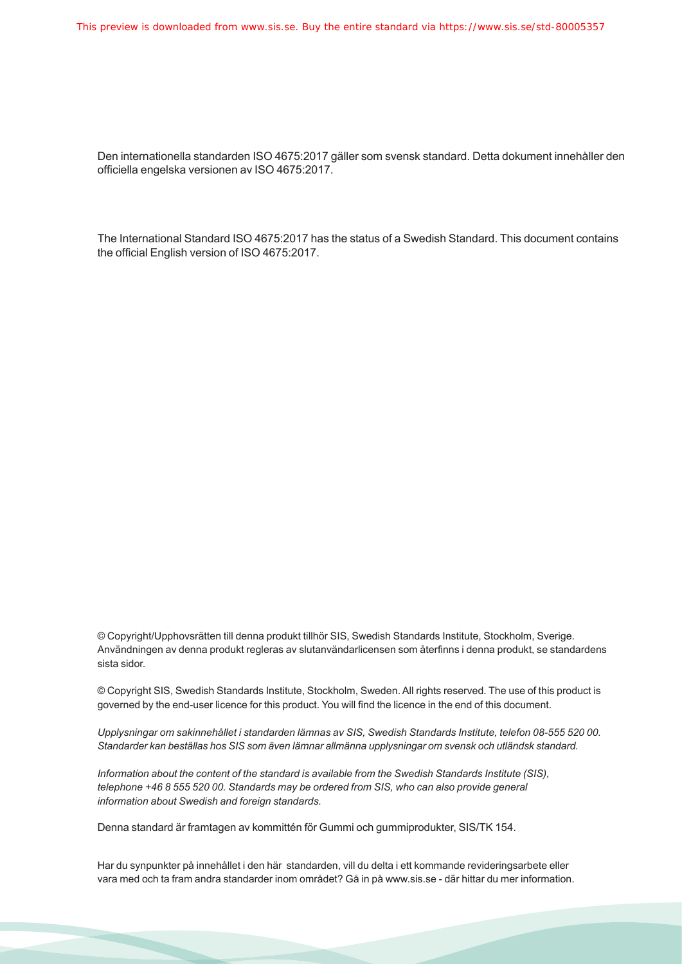Den internationella standarden ISO 4675:2017 gäller som svensk standard. Detta dokument innehåller den officiella engelska versionen av ISO 4675:2017.

The International Standard ISO 4675:2017 has the status of a Swedish Standard. This document contains the official English version of ISO 4675:2017.

© Copyright/Upphovsrätten till denna produkt tillhör SIS, Swedish Standards Institute, Stockholm, Sverige. Användningen av denna produkt regleras av slutanvändarlicensen som återfinns i denna produkt, se standardens sista sidor.

© Copyright SIS, Swedish Standards Institute, Stockholm, Sweden. All rights reserved. The use of this product is governed by the end-user licence for this product. You will find the licence in the end of this document.

*Upplysningar om sakinnehållet i standarden lämnas av SIS, Swedish Standards Institute, telefon 08-555 520 00. Standarder kan beställas hos SIS som även lämnar allmänna upplysningar om svensk och utländsk standard.*

*Information about the content of the standard is available from the Swedish Standards Institute (SIS), telephone +46 8 555 520 00. Standards may be ordered from SIS, who can also provide general information about Swedish and foreign standards.*

Denna standard är framtagen av kommittén för Gummi och gummiprodukter, SIS/TK 154.

Har du synpunkter på innehållet i den här standarden, vill du delta i ett kommande revideringsarbete eller vara med och ta fram andra standarder inom området? Gå in på www.sis.se - där hittar du mer information.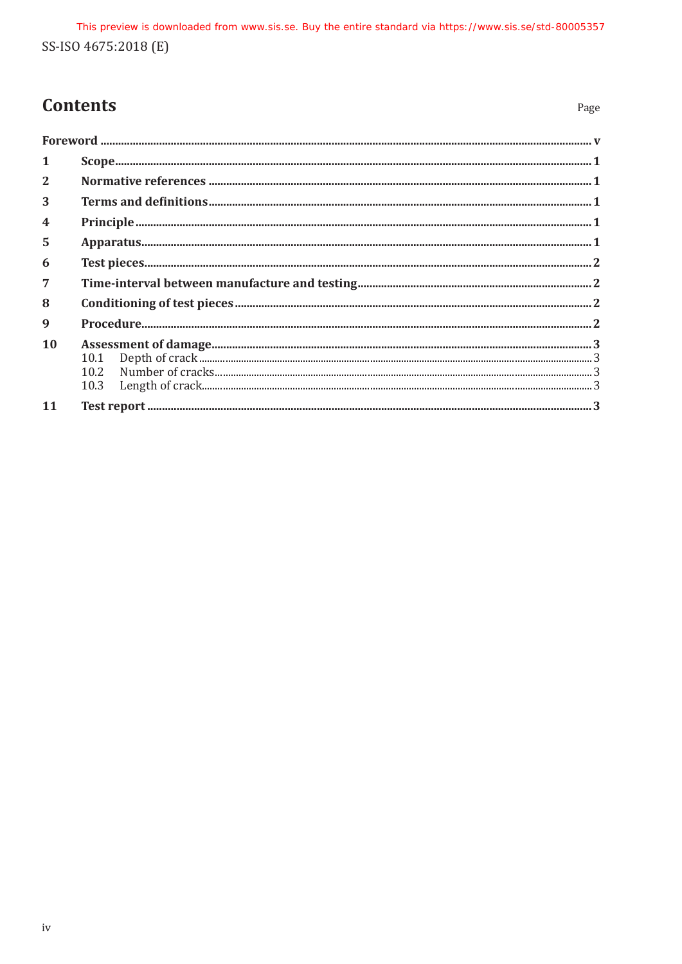## **Contents**

| 3                |                                                                                                                                                                                                                                                                                                                                                                                                          |  |
|------------------|----------------------------------------------------------------------------------------------------------------------------------------------------------------------------------------------------------------------------------------------------------------------------------------------------------------------------------------------------------------------------------------------------------|--|
| $\boldsymbol{4}$ | $\bf{Principle \, \, \ldots, \, \, \ldots, \, \, \ldots, \, \, \ldots, \, \, \ldots, \, \, \ldots, \, \, \ldots, \, \, \ldots, \, \, \ldots, \, \, \ldots, \, \, \ldots, \, \, \ldots, \, \, \ldots, \, \, \ldots, \, \, \ldots, \, \, \ldots, \, \, \ldots, \, \, \ldots, \, \, \ldots, \, \, \ldots, \, \, \ldots, \, \, \ldots, \, \, \ldots, \, \, \ldots, \, \, \ldots, \, \, \ldots, \, \, \ldots$ |  |
| 5                | ${\bf Approximation 1}$                                                                                                                                                                                                                                                                                                                                                                                  |  |
| 6                |                                                                                                                                                                                                                                                                                                                                                                                                          |  |
|                  |                                                                                                                                                                                                                                                                                                                                                                                                          |  |
| 8                |                                                                                                                                                                                                                                                                                                                                                                                                          |  |
| 9                |                                                                                                                                                                                                                                                                                                                                                                                                          |  |
| 10               |                                                                                                                                                                                                                                                                                                                                                                                                          |  |
| 11               |                                                                                                                                                                                                                                                                                                                                                                                                          |  |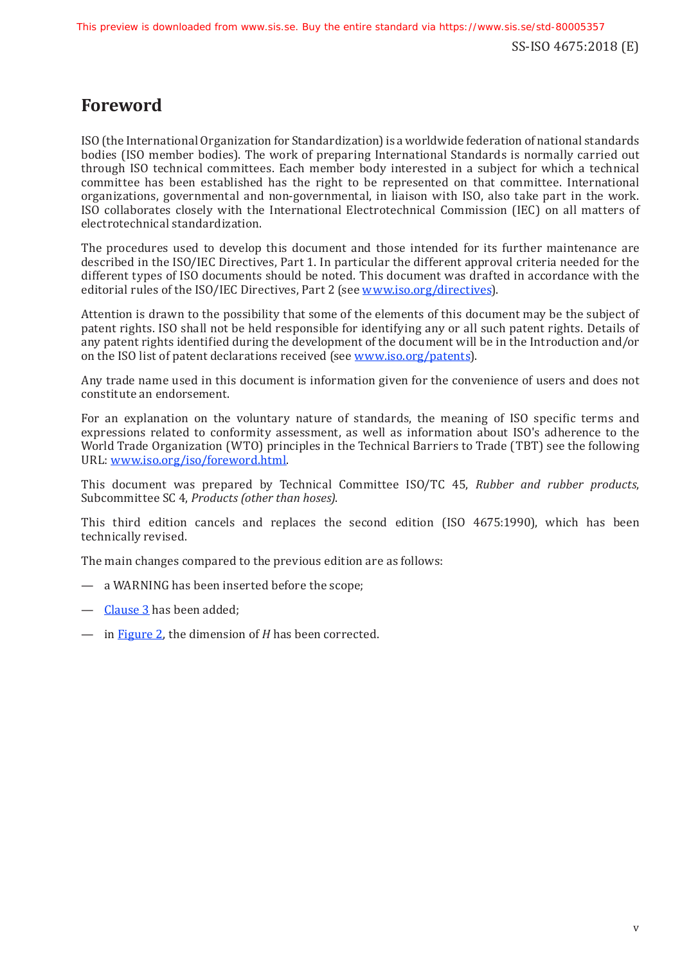## <span id="page-4-0"></span>**Foreword**

ISO (the International Organization for Standardization) is a worldwide federation of national standards bodies (ISO member bodies). The work of preparing International Standards is normally carried out through ISO technical committees. Each member body interested in a subject for which a technical committee has been established has the right to be represented on that committee. International organizations, governmental and non-governmental, in liaison with ISO, also take part in the work. ISO collaborates closely with the International Electrotechnical Commission (IEC) on all matters of electrotechnical standardization.

The procedures used to develop this document and those intended for its further maintenance are described in the ISO/IEC Directives, Part 1. In particular the different approval criteria needed for the different types of ISO documents should be noted. This document was drafted in accordance with the editorial rules of the ISO/IEC Directives, Part 2 (see [www.iso.org/directives\)](http://www.iso.org/directives).

Attention is drawn to the possibility that some of the elements of this document may be the subject of patent rights. ISO shall not be held responsible for identifying any or all such patent rights. Details of any patent rights identified during the development of the document will be in the Introduction and/or on the ISO list of patent declarations received (see [www.iso.org/patents](http://www.iso.org/patents)).

Any trade name used in this document is information given for the convenience of users and does not constitute an endorsement.

For an explanation on the voluntary nature of standards, the meaning of ISO specific terms and expressions related to conformity assessment, as well as information about ISO's adherence to the World Trade Organization (WTO) principles in the Technical Barriers to Trade (TBT) see the following URL: [www.iso.org/iso/foreword.html](http://www.iso.org/iso/foreword.html).

This document was prepared by Technical Committee ISO/TC 45, *Rubber and rubber products*, Subcommittee SC 4, *Products (other than hoses)*.

This third edition cancels and replaces the second edition (ISO 4675:1990), which has been technically revised.

The main changes compared to the previous edition are as follows:

- a WARNING has been inserted before the scope;
- [Clause](#page-6-2) 3 has been added;
- in Figure 2, the dimension of *H* has been corrected.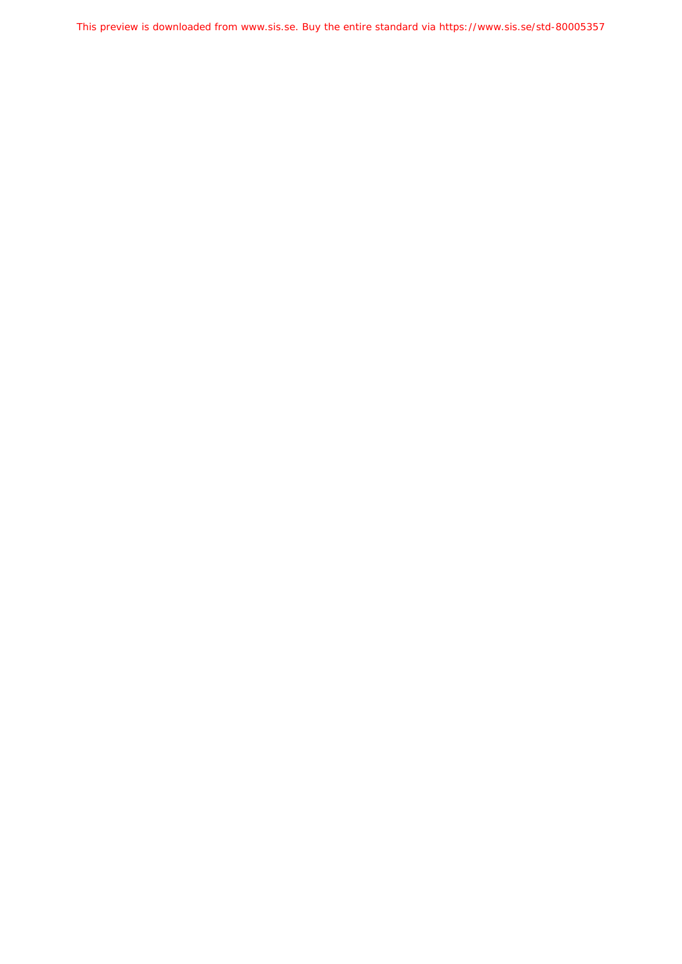This preview is downloaded from www.sis.se. Buy the entire standard via https://www.sis.se/std-80005357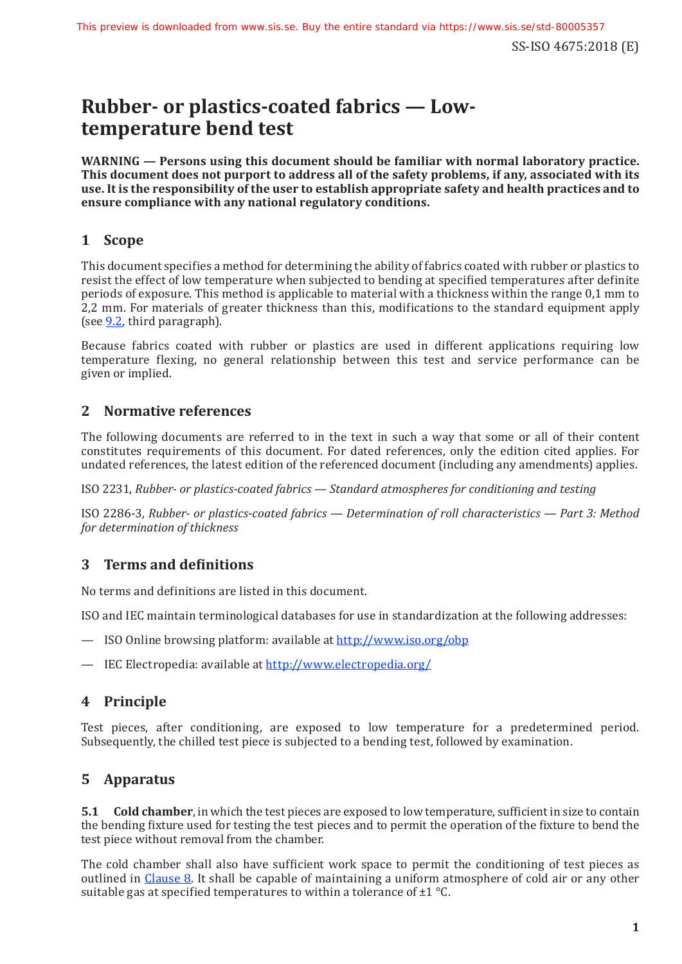## **Rubber- or plastics-coated fabrics — Lowtemperature bend test**

**WARNING — Persons using this document should be familiar with normal laboratory practice. This document does not purport to address all of the safety problems, if any, associated with its use. It is the responsibility of the user to establish appropriate safety and health practices and to ensure compliance with any national regulatory conditions.**

## <span id="page-6-0"></span>**1 Scope**

This document specifies a method for determining the ability of fabrics coated with rubber or plastics to resist the effect of low temperature when subjected to bending at specified temperatures after definite periods of exposure. This method is applicable to material with a thickness within the range 0,1 mm to 2,2 mm. For materials of greater thickness than this, modifications to the standard equipment apply (see [9.2](#page-7-4), third paragraph).

Because fabrics coated with rubber or plastics are used in different applications requiring low temperature flexing, no general relationship between this test and service performance can be given or implied.

## <span id="page-6-1"></span>**2 Normative references**

The following documents are referred to in the text in such a way that some or all of their content constitutes requirements of this document. For dated references, only the edition cited applies. For undated references, the latest edition of the referenced document (including any amendments) applies.

ISO 2231, *Rubber- or plastics-coated fabrics — Standard atmospheres for conditioning and testing*

ISO 2286-3, *Rubber- or plastics-coated fabrics — Determination of roll characteristics — Part 3: Method for determination of thickness*

### <span id="page-6-2"></span>**3 Terms and definitions**

No terms and definitions are listed in this document.

ISO and IEC maintain terminological databases for use in standardization at the following addresses:

- ISO Online browsing platform: available at <http://www.iso.org/obp>
- IEC Electropedia: available at<http://www.electropedia.org/>

### <span id="page-6-3"></span>**4 Principle**

Test pieces, after conditioning, are exposed to low temperature for a predetermined period. Subsequently, the chilled test piece is subjected to a bending test, followed by examination.

### <span id="page-6-4"></span>**5 Apparatus**

<span id="page-6-5"></span>**5.1 Cold chamber**, in which the test pieces are exposed to low temperature, sufficient in size to contain the bending fixture used for testing the test pieces and to permit the operation of the fixture to bend the test piece without removal from the chamber.

The cold chamber shall also have sufficient work space to permit the conditioning of test pieces as outlined in [Clause](#page-7-2) 8. It shall be capable of maintaining a uniform atmosphere of cold air or any other suitable gas at specified temperatures to within a tolerance of  $\pm 1$  °C.